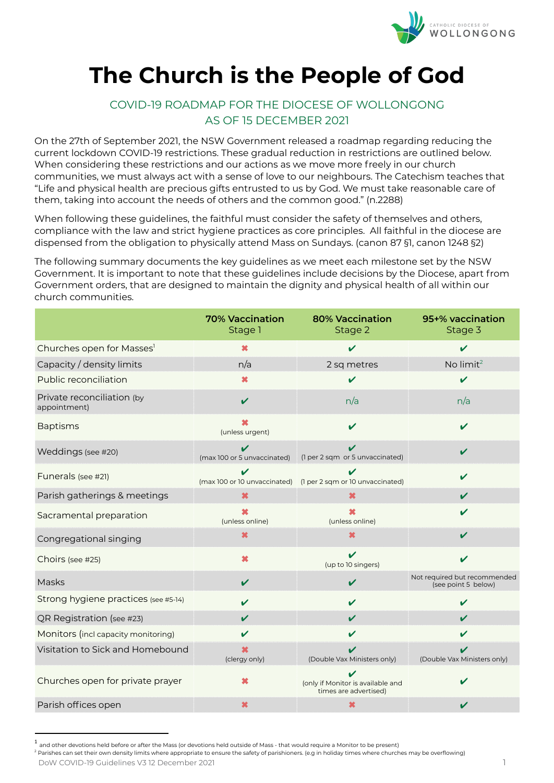

# **The Church is the People of God**

## COVID-19 ROADMAP FOR THE DIOCESE OF WOLLONGONG AS OF 15 DECEMBER 2021

On the 27th of September 2021, the NSW Government released a roadmap regarding reducing the current lockdown COVID-19 restrictions. These gradual reduction in restrictions are outlined below. When considering these restrictions and our actions as we move more freely in our church communities, we must always act with a sense of love to our neighbours. The Catechism teaches that "Life and physical health are precious gifts entrusted to us by God. We must take reasonable care of them, taking into account the needs of others and the common good." (n.2288)

When following these guidelines, the faithful must consider the safety of themselves and others, compliance with the law and strict hygiene practices as core principles. All faithful in the diocese are dispensed from the obligation to physically attend Mass on Sundays. (canon 87 §1, canon 1248 §2)

The following summary documents the key guidelines as we meet each milestone set by the NSW Government. It is important to note that these guidelines include decisions by the Diocese, apart from Government orders, that are designed to maintain the dignity and physical health of all within our church communities.

|                                            | <b>70% Vaccination</b><br>Stage 1 | <b>80% Vaccination</b><br>Stage 2                          | 95+% vaccination<br>Stage 3                         |
|--------------------------------------------|-----------------------------------|------------------------------------------------------------|-----------------------------------------------------|
| Churches open for Masses <sup>1</sup>      | ×                                 | $\boldsymbol{\nu}$                                         | V                                                   |
| Capacity / density limits                  | n/a                               | 2 sq metres                                                | No limit <sup>2</sup>                               |
| Public reconciliation                      | ×                                 | ✓                                                          | V                                                   |
| Private reconciliation (by<br>appointment) | $\mathbf v$                       | n/a                                                        | n/a                                                 |
| <b>Baptisms</b>                            | ×<br>(unless urgent)              | V                                                          | $\boldsymbol{\nu}$                                  |
| Weddings (see #20)                         | V<br>(max 100 or 5 unvaccinated)  | V<br>(1 per 2 sqm or 5 unvaccinated)                       | V                                                   |
| Funerals (see #21)                         | ✓<br>(max 100 or 10 unvaccinated) | (1 per 2 sqm or 10 unvaccinated)                           | V                                                   |
| Parish gatherings & meetings               | $\boldsymbol{\mathsf{x}}$         | ×                                                          | $\boldsymbol{\nu}$                                  |
| Sacramental preparation                    | ×<br>(unless online)              | (unless online)                                            | V                                                   |
| Congregational singing                     | ×                                 | ×                                                          | V                                                   |
| Choirs (see #25)                           | $\boldsymbol{\ast}$               | $\boldsymbol{\nu}$<br>(up to 10 singers)                   | $\boldsymbol{\nu}$                                  |
| Masks                                      | ✓                                 | V                                                          | Not required but recommended<br>(see point 5 below) |
| Strong hygiene practices (see #5-14)       | V                                 | $\boldsymbol{\nu}$                                         | V                                                   |
| QR Registration (see #23)                  | V                                 | $\boldsymbol{\mathcal{U}}$                                 | $\boldsymbol{\mathcal{U}}$                          |
| Monitors (incl capacity monitoring)        | V                                 | $\boldsymbol{\mathcal{U}}$                                 | V                                                   |
| Visitation to Sick and Homebound           | ×<br>(clergy only)                | (Double Vax Ministers only)                                | V<br>(Double Vax Ministers only)                    |
| Churches open for private prayer           | ×                                 | (only if Monitor is available and<br>times are advertised) | ✔                                                   |
| Parish offices open                        | ×                                 | ×                                                          | V                                                   |

<sup>.&</sup>lt;br><sup>1</sup> and other devotions held before or after the Mass (or devotions held outside of Mass - that would require a Monitor to be present)

<sup>&</sup>lt;sup>2</sup> Parishes can set their own density limits where appropriate to ensure the safety of parishioners. (e.g in holiday times where churches may be overflowing) DoW COVID-19 Guidelines V3 12 December 2021 1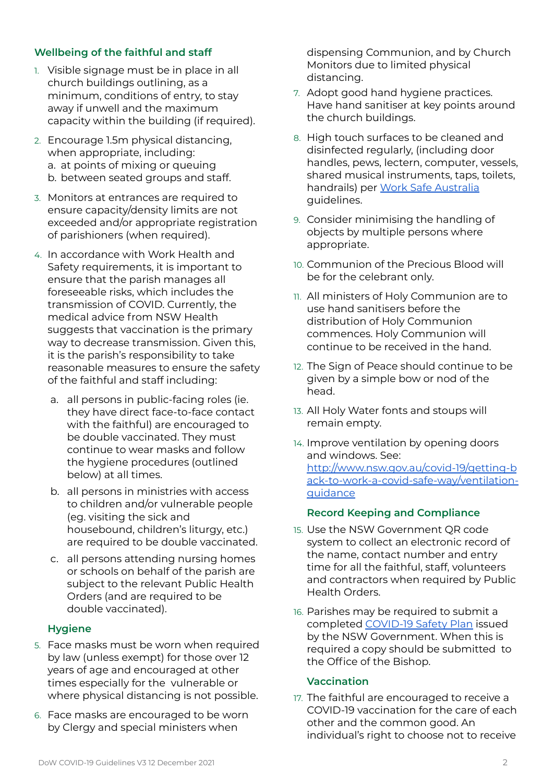### **Wellbeing of the faithful and staff**

- 1. Visible signage must be in place in all church buildings outlining, as a minimum, conditions of entry, to stay away if unwell and the maximum capacity within the building (if required).
- 2. Encourage 1.5m physical distancing, when appropriate, including: a. at points of mixing or queuing b. between seated groups and staff.
- 3. Monitors at entrances are required to ensure capacity/density limits are not exceeded and/or appropriate registration of parishioners (when required).
- 4. In accordance with Work Health and Safety requirements, it is important to ensure that the parish manages all foreseeable risks, which includes the transmission of COVID. Currently, the medical advice from NSW Health suggests that vaccination is the primary way to decrease transmission. Given this, it is the parish's responsibility to take reasonable measures to ensure the safety of the faithful and staff including:
	- a. all persons in public-facing roles (ie. they have direct face-to-face contact with the faithful) are encouraged to be double vaccinated. They must continue to wear masks and follow the hygiene procedures (outlined below) at all times.
	- b. all persons in ministries with access to children and/or vulnerable people (eg. visiting the sick and housebound, children's liturgy, etc.) are required to be double vaccinated.
	- c. all persons attending nursing homes or schools on behalf of the parish are subject to the relevant Public Health Orders (and are required to be double vaccinated).

#### **Hygiene**

- 5. Face masks must be worn when required by law (unless exempt) for those over 12 years of age and encouraged at other times especially for the vulnerable or where physical distancing is not possible.
- 6. Face masks are encouraged to be worn by Clergy and special ministers when

dispensing Communion, and by Church Monitors due to limited physical distancing.

- 7. Adopt good hand hygiene practices. Have hand sanitiser at key points around the church buildings.
- 8. High touch surfaces to be cleaned and disinfected regularly, (including door handles, pews, lectern, computer, vessels, shared musical instruments, taps, toilets, handrails) per Work Safe [Australia](https://www.safeworkaustralia.gov.au/covid-19-information-workplaces/industry-information/general-industry-information/cleaning#heading--5--tab-toc-how_often_should_i_clean?) [guidelines.](https://www.safeworkaustralia.gov.au/covid-19-information-workplaces/industry-information/general-industry-information/cleaning#heading--5--tab-toc-how_often_should_i_clean?)
- 9. Consider minimising the handling of objects by multiple persons where appropriate.
- 10. Communion of the Precious Blood will be for the celebrant only.
- 11. All ministers of Holy Communion are to use hand sanitisers before the distribution of Holy Communion commences. Holy Communion will continue to be received in the hand.
- 12. The Sign of Peace should continue to be given by a simple bow or nod of the head.
- 13. All Holy Water fonts and stoups will remain empty.
- 14. Improve ventilation by opening doors and windows. See: [http://www.nsw.gov.au/covid-19/getting-b](http://www.nsw.gov.au/covid-19/getting-back-to-work-a-covid-safe-way/ventilation-guidance) [ack-to-work-a-covid-safe-way/ventilation](http://www.nsw.gov.au/covid-19/getting-back-to-work-a-covid-safe-way/ventilation-guidance)[guidance](http://www.nsw.gov.au/covid-19/getting-back-to-work-a-covid-safe-way/ventilation-guidance)

#### **Record Keeping and Compliance**

- 15. Use the NSW Government QR code system to collect an electronic record of the name, contact number and entry time for all the faithful, staff, volunteers and contractors when required by Public Health Orders.
- 16. Parishes may be required to submit a completed [COVID-19](https://www.nsw.gov.au/sites/default/files/2020-05/covid-19-safety-plan-places-of-worship_2.pdf) Safety Plan issued by the NSW Government. When this is required a copy should be submitted to the Office of the Bishop.

#### **Vaccination**

17. The faithful are encouraged to receive a COVID-19 vaccination for the care of each other and the common good. An individual's right to choose not to receive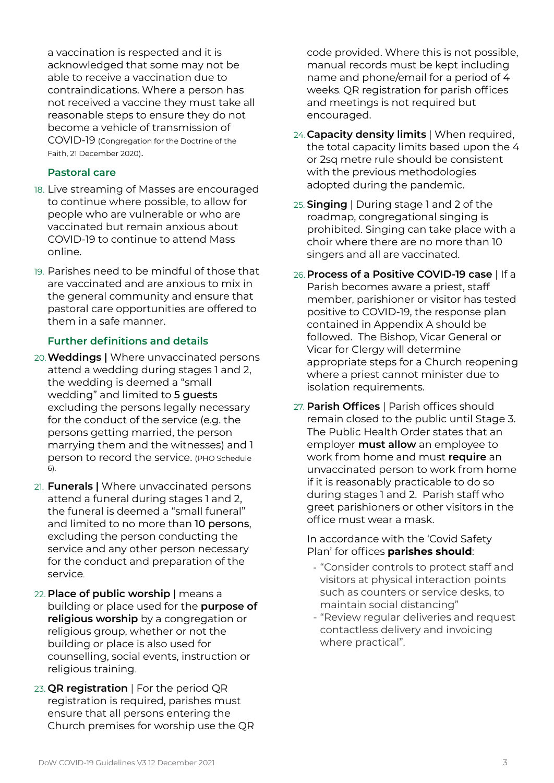a vaccination is respected and it is acknowledged that some may not be able to receive a vaccination due to contraindications. Where a person has not received a vaccine they must take all reasonable steps to ensure they do not become a vehicle of transmission of COVID-19 (Congregation for the Doctrine of the Faith, 21 December 2020).

#### **Pastoral care**

- 18. Live streaming of Masses are encouraged to continue where possible, to allow for people who are vulnerable or who are vaccinated but remain anxious about COVID-19 to continue to attend Mass online.
- 19. Parishes need to be mindful of those that are vaccinated and are anxious to mix in the general community and ensure that pastoral care opportunities are offered to them in a safe manner.

#### **Further definitions and details**

- 20.**Weddings |** Where unvaccinated persons attend a wedding during stages 1 and 2, the wedding is deemed a "small wedding" and limited to 5 guests excluding the persons legally necessary for the conduct of the service (e.g. the persons getting married, the person marrying them and the witnesses) and 1 person to record the service. (PHO Schedule 6).
- 21. **Funerals |** Where unvaccinated persons attend a funeral during stages 1 and 2, the funeral is deemed a "small funeral" and limited to no more than 10 persons, excluding the person conducting the service and any other person necessary for the conduct and preparation of the service.
- 22. **Place of public worship** | means a building or place used for the **purpose of religious worship** by a congregation or religious group, whether or not the building or place is also used for counselling, social events, instruction or religious training.
- 23. **QR [registration](https://www.nsw.gov.au/covid-19/business/check-in/mandatory-qr-code#toc-rules-for-occupiers-of-premises)** | For the period QR registration is required, parishes must ensure that all persons entering the Church premises for worship use the QR

code provided. Where this is not possible, manual records must be kept including name and phone/email for a period of 4 weeks. QR registration for parish offices and meetings is not required but encouraged.

- 24.**Capacity density limits** | When required, the total capacity limits based upon the 4 or 2sq metre rule should be consistent with the previous methodologies adopted during the pandemic.
- 25. **Singing** | During stage 1 and 2 of the roadmap, congregational singing is prohibited. Singing can take place with a choir where there are no more than 10 singers and all are vaccinated.
- 26. **Process of a Positive COVID-19 case** | If a Parish becomes aware a priest, staff member, parishioner or visitor has tested positive to COVID-19, the response plan contained in Appendix A should be followed. The Bishop, Vicar General or Vicar for Clergy will determine appropriate steps for a Church reopening where a priest cannot minister due to isolation requirements.
- 27. **Parish Offices** | Parish offices should remain closed to the public until Stage 3. The Public Health Order states that an employer **must allow** an employee to work from home and must **require** an unvaccinated person to work from home if it is reasonably practicable to do so during stages 1 and 2. Parish staff who greet parishioners or other visitors in the office must wear a mask.

In accordance with the 'Covid Safety Plan' for offices **parishes should**:

- "Consider controls to protect staff and visitors at physical interaction points such as counters or service desks, to maintain social distancing"
- "Review regular deliveries and request contactless delivery and invoicing where practical".